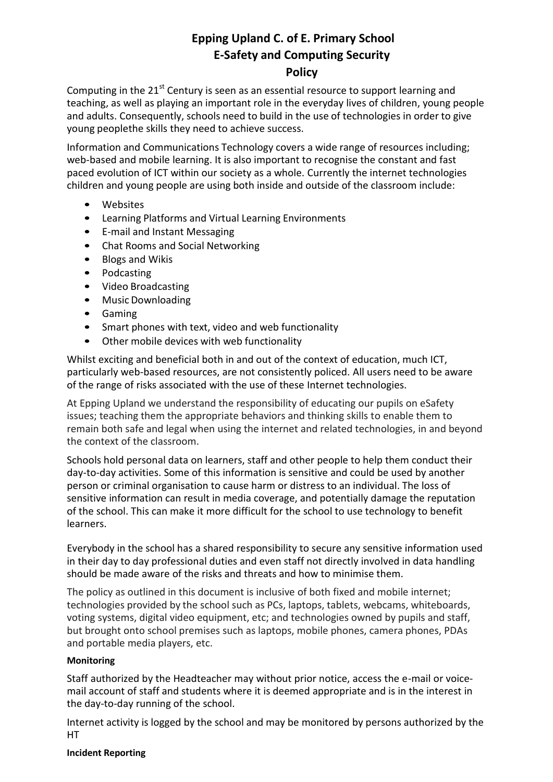# **Epping Upland C. of E. Primary School E-Safety and Computing Security**

# **Policy**

Computing in the  $21^{st}$  Century is seen as an essential resource to support learning and teaching, as well as playing an important role in the everyday lives of children, young people and adults. Consequently, schools need to build in the use of technologies in order to give young peoplethe skills they need to achieve success.

Information and Communications Technology covers a wide range of resources including; web-based and mobile learning. It is also important to recognise the constant and fast paced evolution of ICT within our society as a whole. Currently the internet technologies children and young people are using both inside and outside of the classroom include:

- Websites
- Learning Platforms and Virtual Learning Environments
- E-mail and Instant Messaging
- Chat Rooms and Social Networking
- Blogs and Wikis
- Podcasting
- Video Broadcasting
- Music Downloading
- Gaming
- Smart phones with text, video and web functionality
- Other mobile devices with web functionality

Whilst exciting and beneficial both in and out of the context of education, much ICT, particularly web-based resources, are not consistently policed. All users need to be aware of the range of risks associated with the use of these Internet technologies.

At Epping Upland we understand the responsibility of educating our pupils on eSafety issues; teaching them the appropriate behaviors and thinking skills to enable them to remain both safe and legal when using the internet and related technologies, in and beyond the context of the classroom.

Schools hold personal data on learners, staff and other people to help them conduct their day-to-day activities. Some of this information is sensitive and could be used by another person or criminal organisation to cause harm or distress to an individual. The loss of sensitive information can result in media coverage, and potentially damage the reputation of the school. This can make it more difficult for the school to use technology to benefit learners.

Everybody in the school has a shared responsibility to secure any sensitive information used in their day to day professional duties and even staff not directly involved in data handling should be made aware of the risks and threats and how to minimise them.

The policy as outlined in this document is inclusive of both fixed and mobile internet; technologies provided by the school such as PCs, laptops, tablets, webcams, whiteboards, voting systems, digital video equipment, etc; and technologies owned by pupils and staff, but brought onto school premises such as laptops, mobile phones, camera phones, PDAs and portable media players, etc.

# **Monitoring**

Staff authorized by the Headteacher may without prior notice, access the e-mail or voicemail account of staff and students where it is deemed appropriate and is in the interest in the day-to-day running of the school.

Internet activity is logged by the school and may be monitored by persons authorized by the HT

# **Incident Reporting**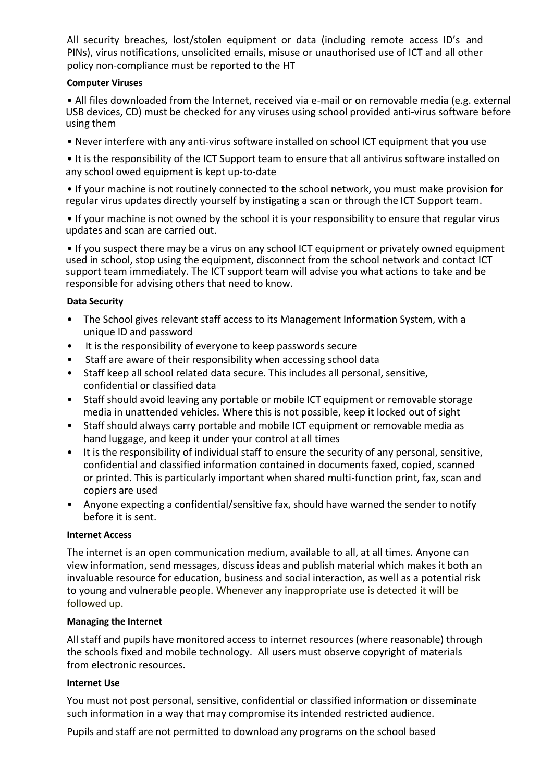All security breaches, lost/stolen equipment or data (including remote access ID's and PINs), virus notifications, unsolicited emails, misuse or unauthorised use of ICT and all other policy non-compliance must be reported to the HT

# **Computer Viruses**

• All files downloaded from the Internet, received via e-mail or on removable media (e.g. external USB devices, CD) must be checked for any viruses using school provided anti-virus software before using them

• Never interfere with any anti-virus software installed on school ICT equipment that you use

• It is the responsibility of the ICT Support team to ensure that all antivirus software installed on any school owed equipment is kept up-to-date

• If your machine is not routinely connected to the school network, you must make provision for regular virus updates directly yourself by instigating a scan or through the ICT Support team.

• If your machine is not owned by the school it is your responsibility to ensure that regular virus updates and scan are carried out.

• If you suspect there may be a virus on any school ICT equipment or privately owned equipment used in school, stop using the equipment, disconnect from the school network and contact ICT support team immediately. The ICT support team will advise you what actions to take and be responsible for advising others that need to know.

# **Data Security**

- The School gives relevant staff access to its Management Information System, with a unique ID and password
- It is the responsibility of everyone to keep passwords secure
- Staff are aware of their responsibility when accessing school data
- Staff keep all school related data secure. This includes all personal, sensitive, confidential or classified data
- Staff should avoid leaving any portable or mobile ICT equipment or removable storage media in unattended vehicles. Where this is not possible, keep it locked out of sight
- Staff should always carry portable and mobile ICT equipment or removable media as hand luggage, and keep it under your control at all times
- It is the responsibility of individual staff to ensure the security of any personal, sensitive, confidential and classified information contained in documents faxed, copied, scanned or printed. This is particularly important when shared multi-function print, fax, scan and copiers are used
- Anyone expecting a confidential/sensitive fax, should have warned the sender to notify before it is sent.

#### **Internet Access**

The internet is an open communication medium, available to all, at all times. Anyone can view information, send messages, discuss ideas and publish material which makes it both an invaluable resource for education, business and social interaction, as well as a potential risk to young and vulnerable people. Whenever any inappropriate use is detected it will be followed up.

# **Managing the Internet**

All staff and pupils have monitored access to internet resources (where reasonable) through the schools fixed and mobile technology. All users must observe copyright of materials from electronic resources.

# **Internet Use**

You must not post personal, sensitive, confidential or classified information or disseminate such information in a way that may compromise its intended restricted audience.

Pupils and staff are not permitted to download any programs on the school based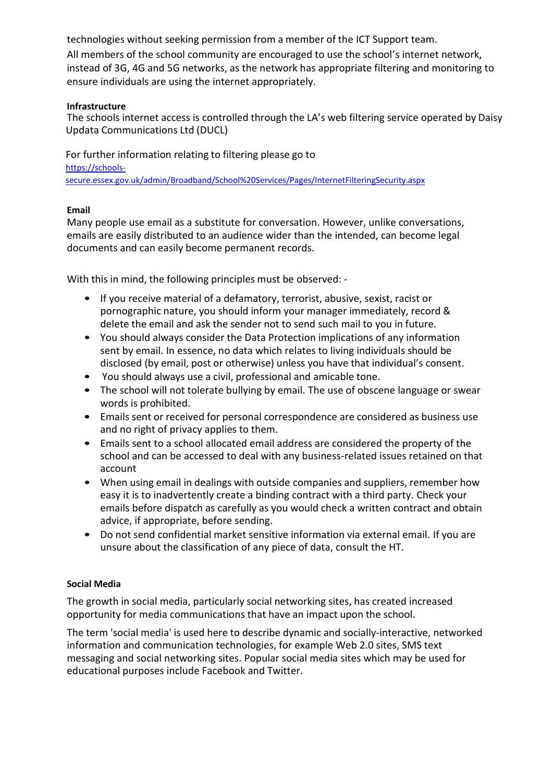technologies without seeking permission from a member of the ICT Support team. All members of the school community are encouraged to use the school's internet network, instead of 3G, 4G and 5G networks, as the network has appropriate filtering and monitoring to ensure individuals are using the internet appropriately.

# **Infrastructure**

The schools internet access is controlled through the LA's web filtering service operated by Daisy Updata Communications Ltd (DUCL)

For further information relating to filtering please go to [https://schools](https://schools-secure.essex.gov.uk/admin/Broadband/School%20Services/Pages/InternetFilteringSecurity.aspx)[secure.essex.gov.uk/admin/Broadband/School%20Services/Pages/InternetFilteringSecurity.aspx](https://schools-secure.essex.gov.uk/admin/Broadband/School%20Services/Pages/InternetFilteringSecurity.aspx)

# **Email**

Many people use email as a substitute for conversation. However, unlike conversations, emails are easily distributed to an audience wider than the intended, can become legal documents and can easily become permanent records.

With this in mind, the following principles must be observed: -

- If you receive material of a defamatory, terrorist, abusive, sexist, racist or pornographic nature, you should inform your manager immediately, record & delete the email and ask the sender not to send such mail to you in future.
- You should always consider the Data Protection implications of any information sent by email. In essence, no data which relates to living individuals should be disclosed (by email, post or otherwise) unless you have that individual's consent.
- You should always use a civil, professional and amicable tone.
- The school will not tolerate bullying by email. The use of obscene language or swear words is prohibited.
- Emails sent or received for personal correspondence are considered as business use and no right of privacy applies to them.
- Emails sent to a school allocated email address are considered the property of the school and can be accessed to deal with any business-related issues retained on that account
- When using email in dealings with outside companies and suppliers, remember how easy it is to inadvertently create a binding contract with a third party. Check your emails before dispatch as carefully as you would check a written contract and obtain advice, if appropriate, before sending.
- Do not send confidential market sensitive information via external email. If you are unsure about the classification of any piece of data, consult the HT.

# **Social Media**

The growth in social media, particularly social networking sites, has created increased opportunity for media communications that have an impact upon the school.

The term 'social media' is used here to describe dynamic and socially-interactive, networked information and communication technologies, for example Web 2.0 sites, SMS text messaging and social networking sites. Popular social media sites which may be used for educational purposes include Facebook and Twitter.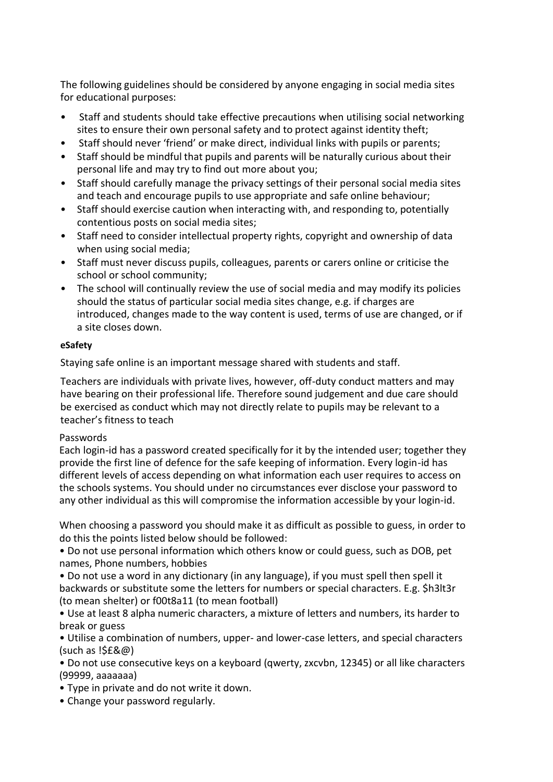The following guidelines should be considered by anyone engaging in social media sites for educational purposes:

- Staff and students should take effective precautions when utilising social networking sites to ensure their own personal safety and to protect against identity theft;
- Staff should never 'friend' or make direct, individual links with pupils or parents;
- Staff should be mindful that pupils and parents will be naturally curious about their personal life and may try to find out more about you;
- Staff should carefully manage the privacy settings of their personal social media sites and teach and encourage pupils to use appropriate and safe online behaviour;
- Staff should exercise caution when interacting with, and responding to, potentially contentious posts on social media sites;
- Staff need to consider intellectual property rights, copyright and ownership of data when using social media;
- Staff must never discuss pupils, colleagues, parents or carers online or criticise the school or school community;
- The school will continually review the use of social media and may modify its policies should the status of particular social media sites change, e.g. if charges are introduced, changes made to the way content is used, terms of use are changed, or if a site closes down.

# **eSafety**

Staying safe online is an important message shared with students and staff.

Teachers are individuals with private lives, however, off-duty conduct matters and may have bearing on their professional life. Therefore sound judgement and due care should be exercised as conduct which may not directly relate to pupils may be relevant to a teacher's fitness to teach

# Passwords

Each login-id has a password created specifically for it by the intended user; together they provide the first line of defence for the safe keeping of information. Every login-id has different levels of access depending on what information each user requires to access on the schools systems. You should under no circumstances ever disclose your password to any other individual as this will compromise the information accessible by your login-id.

When choosing a password you should make it as difficult as possible to guess, in order to do this the points listed below should be followed:

• Do not use personal information which others know or could guess, such as DOB, pet names, Phone numbers, hobbies

• Do not use a word in any dictionary (in any language), if you must spell then spell it backwards or substitute some the letters for numbers or special characters. E.g. \$h3lt3r (to mean shelter) or f00t8a11 (to mean football)

• Use at least 8 alpha numeric characters, a mixture of letters and numbers, its harder to break or guess

• Utilise a combination of numbers, upper- and lower-case letters, and special characters  $(such as !5E&@)$ 

• Do not use consecutive keys on a keyboard (qwerty, zxcvbn, 12345) or all like characters (99999, aaaaaaa)

• Type in private and do not write it down.

• Change your password regularly.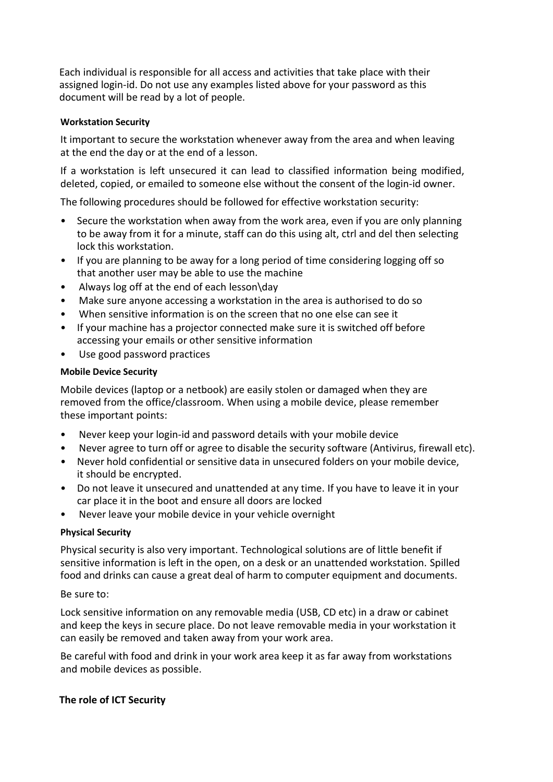Each individual is responsible for all access and activities that take place with their assigned login-id. Do not use any examples listed above for your password as this document will be read by a lot of people.

# **Workstation Security**

It important to secure the workstation whenever away from the area and when leaving at the end the day or at the end of a lesson.

If a workstation is left unsecured it can lead to classified information being modified, deleted, copied, or emailed to someone else without the consent of the login-id owner.

The following procedures should be followed for effective workstation security:

- Secure the workstation when away from the work area, even if you are only planning to be away from it for a minute, staff can do this using alt, ctrl and del then selecting lock this workstation.
- If you are planning to be away for a long period of time considering logging off so that another user may be able to use the machine
- Always log off at the end of each lesson\day
- Make sure anyone accessing a workstation in the area is authorised to do so
- When sensitive information is on the screen that no one else can see it
- If your machine has a projector connected make sure it is switched off before accessing your emails or other sensitive information
- Use good password practices

# **Mobile Device Security**

Mobile devices (laptop or a netbook) are easily stolen or damaged when they are removed from the office/classroom. When using a mobile device, please remember these important points:

- Never keep your login-id and password details with your mobile device
- Never agree to turn off or agree to disable the security software (Antivirus, firewall etc).
- Never hold confidential or sensitive data in unsecured folders on your mobile device, it should be encrypted.
- Do not leave it unsecured and unattended at any time. If you have to leave it in your car place it in the boot and ensure all doors are locked
- Never leave your mobile device in your vehicle overnight

# **Physical Security**

Physical security is also very important. Technological solutions are of little benefit if sensitive information is left in the open, on a desk or an unattended workstation. Spilled food and drinks can cause a great deal of harm to computer equipment and documents.

# Be sure to:

Lock sensitive information on any removable media (USB, CD etc) in a draw or cabinet and keep the keys in secure place. Do not leave removable media in your workstation it can easily be removed and taken away from your work area.

Be careful with food and drink in your work area keep it as far away from workstations and mobile devices as possible.

# **The role of ICT Security**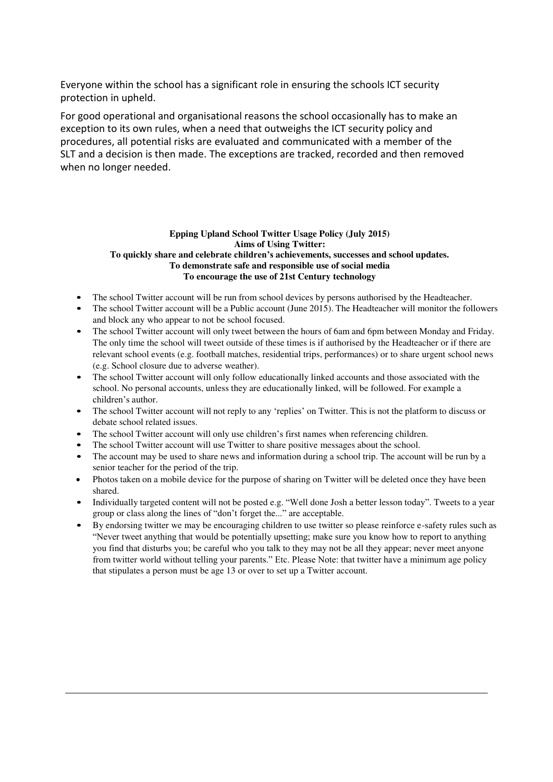Everyone within the school has a significant role in ensuring the schools ICT security protection in upheld.

For good operational and organisational reasons the school occasionally has to make an exception to its own rules, when a need that outweighs the ICT security policy and procedures, all potential risks are evaluated and communicated with a member of the SLT and a decision is then made. The exceptions are tracked, recorded and then removed when no longer needed.

#### **Epping Upland School Twitter Usage Policy (July 2015) Aims of Using Twitter: To quickly share and celebrate children's achievements, successes and school updates. To demonstrate safe and responsible use of social media To encourage the use of 21st Century technology**

- The school Twitter account will be run from school devices by persons authorised by the Headteacher.
- The school Twitter account will be a Public account (June 2015). The Headteacher will monitor the followers and block any who appear to not be school focused.
- The school Twitter account will only tweet between the hours of 6am and 6pm between Monday and Friday. The only time the school will tweet outside of these times is if authorised by the Headteacher or if there are relevant school events (e.g. football matches, residential trips, performances) or to share urgent school news (e.g. School closure due to adverse weather).
- The school Twitter account will only follow educationally linked accounts and those associated with the school. No personal accounts, unless they are educationally linked, will be followed. For example a children's author.
- The school Twitter account will not reply to any 'replies' on Twitter. This is not the platform to discuss or debate school related issues.
- The school Twitter account will only use children's first names when referencing children.
- The school Twitter account will use Twitter to share positive messages about the school.
- The account may be used to share news and information during a school trip. The account will be run by a senior teacher for the period of the trip.
- Photos taken on a mobile device for the purpose of sharing on Twitter will be deleted once they have been shared.
- Individually targeted content will not be posted e.g. "Well done Josh a better lesson today". Tweets to a year group or class along the lines of "don't forget the..." are acceptable.
- By endorsing twitter we may be encouraging children to use twitter so please reinforce e-safety rules such as "Never tweet anything that would be potentially upsetting; make sure you know how to report to anything you find that disturbs you; be careful who you talk to they may not be all they appear; never meet anyone from twitter world without telling your parents." Etc. Please Note: that twitter have a minimum age policy that stipulates a person must be age 13 or over to set up a Twitter account.